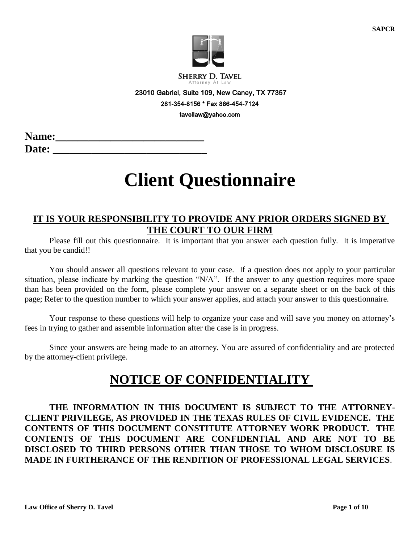

**SHERRY D. TAVEL** 

 23010 Gabriel, Suite 109, New Caney, TX 77357 281-354-8156 \* Fax 866-454-7124 tavellaw@yahoo.com

| <b>Name:</b> |  |  |
|--------------|--|--|
| <b>Date:</b> |  |  |

# **Client Questionnaire**

## **IT IS YOUR RESPONSIBILITY TO PROVIDE ANY PRIOR ORDERS SIGNED BY THE COURT TO OUR FIRM**

Please fill out this questionnaire. It is important that you answer each question fully. It is imperative that you be candid!!

You should answer all questions relevant to your case. If a question does not apply to your particular situation, please indicate by marking the question "N/A". If the answer to any question requires more space than has been provided on the form, please complete your answer on a separate sheet or on the back of this page; Refer to the question number to which your answer applies, and attach your answer to this questionnaire.

Your response to these questions will help to organize your case and will save you money on attorney's fees in trying to gather and assemble information after the case is in progress.

Since your answers are being made to an attorney. You are assured of confidentiality and are protected by the attorney-client privilege.

## **NOTICE OF CONFIDENTIALITY**

**THE INFORMATION IN THIS DOCUMENT IS SUBJECT TO THE ATTORNEY-CLIENT PRIVILEGE, AS PROVIDED IN THE TEXAS RULES OF CIVIL EVIDENCE. THE CONTENTS OF THIS DOCUMENT CONSTITUTE ATTORNEY WORK PRODUCT. THE CONTENTS OF THIS DOCUMENT ARE CONFIDENTIAL AND ARE NOT TO BE DISCLOSED TO THIRD PERSONS OTHER THAN THOSE TO WHOM DISCLOSURE IS MADE IN FURTHERANCE OF THE RENDITION OF PROFESSIONAL LEGAL SERVICES**.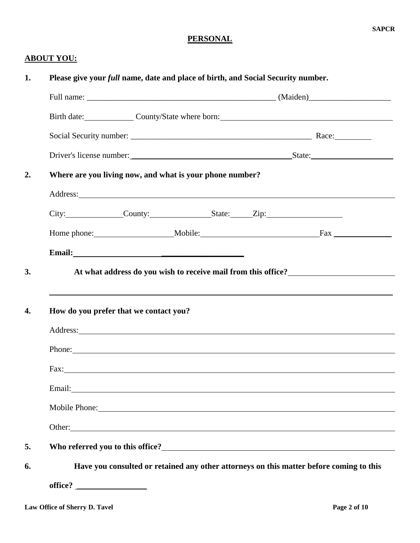## **PERSONAL**

### **ABOUT YOU:**

|                                        |                                                                                                                                                                                                                                      | Birth date: County/State where born:                                                                                                                                                                                           |
|----------------------------------------|--------------------------------------------------------------------------------------------------------------------------------------------------------------------------------------------------------------------------------------|--------------------------------------------------------------------------------------------------------------------------------------------------------------------------------------------------------------------------------|
|                                        |                                                                                                                                                                                                                                      |                                                                                                                                                                                                                                |
|                                        |                                                                                                                                                                                                                                      |                                                                                                                                                                                                                                |
|                                        | Where are you living now, and what is your phone number?                                                                                                                                                                             |                                                                                                                                                                                                                                |
|                                        | Address: <u>New York: Address: Address: Address: Address: Address: Address: Address: Address: Address: Address: Address: Address: Address: Address: Address: Address: Address: Address: Address: Address: Address: Address: Addr</u> |                                                                                                                                                                                                                                |
|                                        | City: County: County: State: Zip:                                                                                                                                                                                                    |                                                                                                                                                                                                                                |
|                                        |                                                                                                                                                                                                                                      |                                                                                                                                                                                                                                |
|                                        | Email: <u>Department of the contract of the contract of the contract of the contract of the contract of the contract of the contract of the contract of the contract of the contract of the contract of the contract of the cont</u> |                                                                                                                                                                                                                                |
|                                        |                                                                                                                                                                                                                                      | At what address do you wish to receive mail from this office?<br>,我们也不会有什么?""我们的人,我们也不会有什么?""我们的人,我们也不会有什么?""我们的人,我们也不会有什么?""我们的人,我们也不会有什么?""我们的人                                                                              |
| How do you prefer that we contact you? | Address: <u>New York: Address: New York: New York: New York: New York: New York: New York: New York: New York: New York: New York: New York: New York: New York: New York: New York: New York: New York: New York: New York: New</u> |                                                                                                                                                                                                                                |
|                                        |                                                                                                                                                                                                                                      | Phone: Note and the second contract of the second contract of the second contract of the second contract of the second contract of the second contract of the second contract of the second contract of the second contract of |
|                                        |                                                                                                                                                                                                                                      | Fax: The Commission of the Commission of the Commission of the Commission of the Commission of the Commission of the Commission of the Commission of the Commission of the Commission of the Commission of the Commission of t |
|                                        | Email: <u>Constantino and Constantino and Constantino and Constantino and Constantino and Constantino and Constantino and Constantino and Constantino and Constantino and Constantino and Constantino and Constantino and Consta</u> |                                                                                                                                                                                                                                |
|                                        | Mobile Phone: Note and the Contract of the Contract of the Contract of the Contract of the Contract of the Contract of the Contract of the Contract of the Contract of the Contract of the Contract of the Contract of the Con       |                                                                                                                                                                                                                                |
|                                        |                                                                                                                                                                                                                                      | Other: and the contract of the contract of the contract of the contract of the contract of the contract of the contract of the contract of the contract of the contract of the contract of the contract of the contract of the |
|                                        |                                                                                                                                                                                                                                      |                                                                                                                                                                                                                                |
|                                        |                                                                                                                                                                                                                                      | Have you consulted or retained any other attorneys on this matter before coming to this                                                                                                                                        |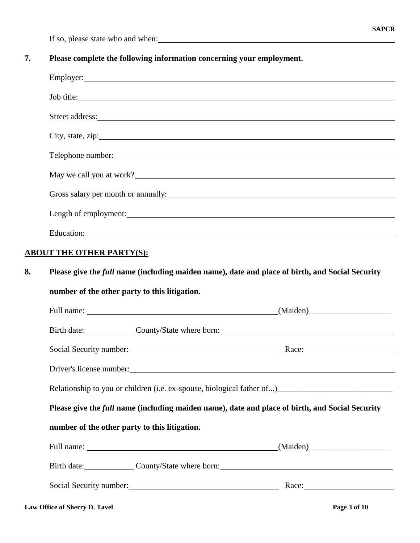If so, please state who and when:

## **7. Please complete the following information concerning your employment.**

|    | Employer: 2000 Company and 2000 Company and 2000 Company and 2000 Company and 2000 Company and 2000 Company and 2000 Company and 2000 Company and 2000 Company and 2000 Company and 2000 Company and 2000 Company and 2000 Com |  |
|----|--------------------------------------------------------------------------------------------------------------------------------------------------------------------------------------------------------------------------------|--|
|    | Job title:                                                                                                                                                                                                                     |  |
|    | Street address:                                                                                                                                                                                                                |  |
|    | City, state, zip:                                                                                                                                                                                                              |  |
|    |                                                                                                                                                                                                                                |  |
|    | May we call you at work?                                                                                                                                                                                                       |  |
|    | Gross salary per month or annually: example of the same state of the same state of the same state of the same state of the same state of the same state of the same state of the same state of the same state of the same stat |  |
|    | Length of employment:                                                                                                                                                                                                          |  |
|    | Education: Network of the Contract of the Contract of the Contract of the Contract of the Contract of the Contract of the Contract of the Contract of the Contract of the Contract of the Contract of the Contract of the Cont |  |
|    | <b>ABOUT THE OTHER PARTY(S):</b>                                                                                                                                                                                               |  |
| 8. | Please give the <i>full</i> name (including maiden name), date and place of birth, and Social Security                                                                                                                         |  |
|    | number of the other party to this litigation.                                                                                                                                                                                  |  |
|    |                                                                                                                                                                                                                                |  |
|    | Birth date: County/State where born: County/State where born:                                                                                                                                                                  |  |
|    | Social Security number: Race: Race:                                                                                                                                                                                            |  |
|    | Driver's license number:                                                                                                                                                                                                       |  |
|    | Relationship to you or children (i.e. ex-spouse, biological father of)___________________________                                                                                                                              |  |
|    | Please give the <i>full</i> name (including maiden name), date and place of birth, and Social Security                                                                                                                         |  |
|    | number of the other party to this litigation.                                                                                                                                                                                  |  |
|    |                                                                                                                                                                                                                                |  |
|    | Birth date: County/State where born: County/State where born:                                                                                                                                                                  |  |
|    | Social Security number: Nace: Nace: Nace: Nace: Nace: Nace: Nace: Nace: Nace: Nace: Nace: Nace: Nace: Nace: Nace: Nace: Nace: Nace: Nace: Nace: Nace: Nace: Nace: Nace: Nace: Nace: Nace: Nace: Nace: Nace: Nace: Nace: Nace:  |  |
|    |                                                                                                                                                                                                                                |  |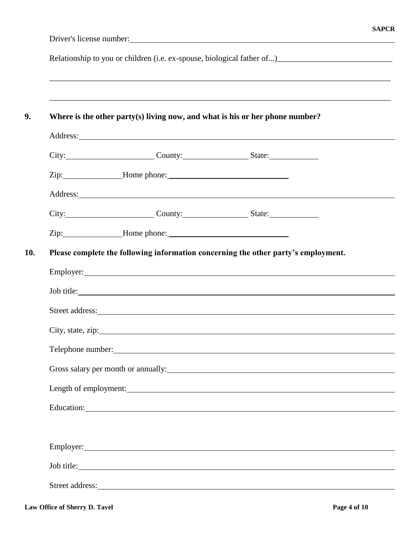Relationship to you or children (i.e. ex-spouse, biological father of...)\_\_\_\_\_\_\_\_\_\_\_\_\_\_\_\_\_\_\_\_\_\_\_\_\_\_\_\_

| Where is the other party(s) living now, and what is his or her phone number?                                                                                                                                                         |  |
|--------------------------------------------------------------------------------------------------------------------------------------------------------------------------------------------------------------------------------------|--|
|                                                                                                                                                                                                                                      |  |
| City: City: County: County: State:                                                                                                                                                                                                   |  |
| Zip: Home phone: Next Separate Lines and Separate Lines and Separate Lines and Separate Lines and Separate Lines and Separate Lines and Separate Lines and Separate Lines and Separate Lines and Separate Lines and Separate L       |  |
| Address: <u>Contract of the contract of the contract of the contract of the contract of the contract of the contract of the contract of the contract of the contract of the contract of the contract of the contract of the cont</u> |  |
| City: City: County: County: State:                                                                                                                                                                                                   |  |
| Zip: Home phone: Next Assembly 2.1 and 2.1 and 2.1 and 2.1 and 2.1 and 2.1 and 2.1 and 2.1 and 2.1 and 2.1 and 2.1 and 2.1 and 2.1 and 2.1 and 2.1 and 2.1 and 2.1 and 2.1 and 2.1 and 2.1 and 2.1 and 2.1 and 2.1 and 2.1 and       |  |
|                                                                                                                                                                                                                                      |  |
| Job title:                                                                                                                                                                                                                           |  |
| Telephone number:                                                                                                                                                                                                                    |  |
| Gross salary per month or annually: 1998 and 2009 and 2009 and 2009 and 2009 and 2009 and 2009 and 2009 and 200                                                                                                                      |  |
| Length of employment:                                                                                                                                                                                                                |  |
|                                                                                                                                                                                                                                      |  |
| Employer: Note that the same state of the state of the state of the state of the state of the state of the state of the state of the state of the state of the state of the state of the state of the state of the state of th       |  |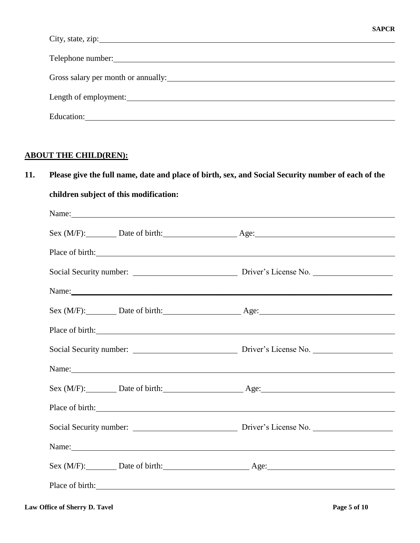| City, state, zip:                                                                                                        |
|--------------------------------------------------------------------------------------------------------------------------|
|                                                                                                                          |
| Telephone number:<br><u>Telephone</u> number:                                                                            |
| Gross salary per month or annually: <u>contained a series of the series of the series of the series of the series of</u> |
|                                                                                                                          |
| Length of employment:                                                                                                    |
| Education:                                                                                                               |

## **ABOUT THE CHILD(REN):**

## **11. Please give the full name, date and place of birth, sex, and Social Security number of each of the**

| Name: Name and the set of the set of the set of the set of the set of the set of the set of the set of the set of the set of the set of the set of the set of the set of the set of the set of the set of the set of the set o |
|--------------------------------------------------------------------------------------------------------------------------------------------------------------------------------------------------------------------------------|
| Sex (M/F): Date of birth: Age: Age:                                                                                                                                                                                            |
| Place of birth:                                                                                                                                                                                                                |
|                                                                                                                                                                                                                                |
| Name: Name:                                                                                                                                                                                                                    |
| Sex (M/F): Date of birth: Age: Age:                                                                                                                                                                                            |
| Place of birth: <u>contained</u>                                                                                                                                                                                               |
| Social Security number: Driver's License No.                                                                                                                                                                                   |
| Name: Name and the set of the set of the set of the set of the set of the set of the set of the set of the set of the set of the set of the set of the set of the set of the set of the set of the set of the set of the set o |
| Sex (M/F): Date of birth: Age: Age:                                                                                                                                                                                            |
| Place of birth:                                                                                                                                                                                                                |
| Social Security number: Driver's License No.                                                                                                                                                                                   |
| Name: Name and the set of the set of the set of the set of the set of the set of the set of the set of the set of the set of the set of the set of the set of the set of the set of the set of the set of the set of the set o |
| Sex (M/F): Date of birth: Age: Age:                                                                                                                                                                                            |
| Place of birth:                                                                                                                                                                                                                |
|                                                                                                                                                                                                                                |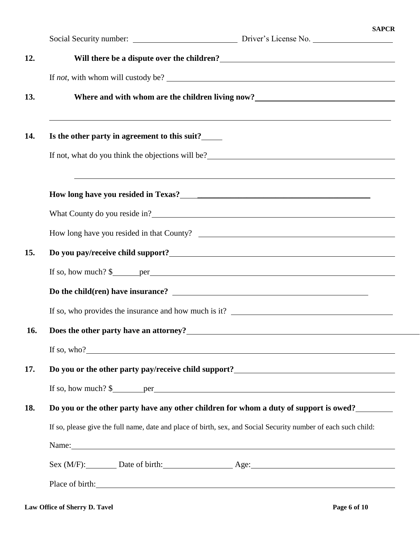|            | <b>SAPCR</b><br>Social Security number: Driver's License No.                                                                                                                                                                           |
|------------|----------------------------------------------------------------------------------------------------------------------------------------------------------------------------------------------------------------------------------------|
| 12.        | Will there be a dispute over the children?<br><u> </u>                                                                                                                                                                                 |
|            | If <i>not</i> , with whom will custody be?                                                                                                                                                                                             |
| 13.        | Where and with whom are the children living now?<br><u>Lange and with whom are the children living now?</u>                                                                                                                            |
| 14.        | Is the other party in agreement to this suit?                                                                                                                                                                                          |
|            |                                                                                                                                                                                                                                        |
|            | ,我们也不会有一个人的人,我们也不会有一个人的人,我们也不会有一个人的人,我们也不会有一个人的人。""我们的人,我们也不会有一个人的人,我们也不会有一个人的人,                                                                                                                                                       |
|            |                                                                                                                                                                                                                                        |
|            |                                                                                                                                                                                                                                        |
| 15.        | Do you pay/receive child support?<br><u> Letter and the contract of the contract of the contract of the contract of the contract of the contract of the contract of the contract of the contract of the contract of the contract o</u> |
|            | If so, how much? $\frac{1}{2}$ per <u>experience</u> experience the set of solution of the set of solution of the set of set of set of set of set of set of set of set of set of set of set of set of set of set of set of set of set  |
|            |                                                                                                                                                                                                                                        |
|            |                                                                                                                                                                                                                                        |
| <b>16.</b> | Does the other party have an attorney?                                                                                                                                                                                                 |
|            | If so, who?                                                                                                                                                                                                                            |
| 17.        | Do you or the other party pay/receive child support?_____________________________                                                                                                                                                      |
|            | If so, how much? $\frac{1}{2}$ per <u>per</u>                                                                                                                                                                                          |
| 18.        | Do you or the other party have any other children for whom a duty of support is owed?_______                                                                                                                                           |
|            | If so, please give the full name, date and place of birth, sex, and Social Security number of each such child:                                                                                                                         |
|            | Name: Name and the set of the set of the set of the set of the set of the set of the set of the set of the set of the set of the set of the set of the set of the set of the set of the set of the set of the set of the set o         |
|            | Sex (M/F): Date of birth: Age: Age:                                                                                                                                                                                                    |
|            | Place of birth:                                                                                                                                                                                                                        |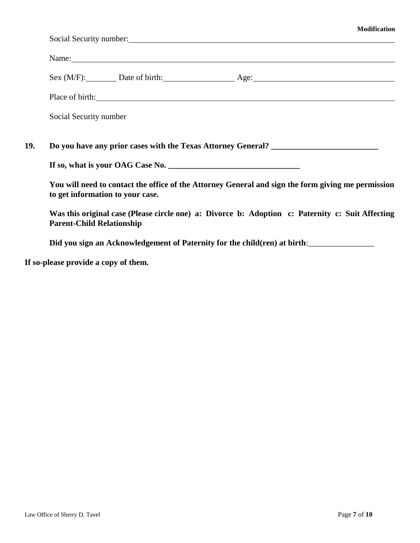|                                  |                                  | Social Security number: 1986 and 2008 and 2008 and 2008 and 2008 and 2008 and 2008 and 2008 and 2008 and 2008 and 2008 and 2008 and 2008 and 2008 and 2008 and 2008 and 2008 and 2008 and 2008 and 2008 and 2008 and 2008 and |
|----------------------------------|----------------------------------|-------------------------------------------------------------------------------------------------------------------------------------------------------------------------------------------------------------------------------|
|                                  |                                  | Name: Name and the second contract of the second contract of the second contract of the second contract of the second contract of the second contract of the second contract of the second contract of the second contract of |
|                                  |                                  | Sex (M/F): Date of birth: Age: Age:                                                                                                                                                                                           |
|                                  |                                  | Place of birth:                                                                                                                                                                                                               |
| Social Security number           |                                  |                                                                                                                                                                                                                               |
|                                  |                                  | Do you have any prior cases with the Texas Attorney General? ____________________                                                                                                                                             |
|                                  |                                  |                                                                                                                                                                                                                               |
|                                  | to get information to your case. | You will need to contact the office of the Attorney General and sign the form giving me permission                                                                                                                            |
| <b>Parent-Child Relationship</b> |                                  | Was this original case (Please circle one) a: Divorce b: Adoption c: Paternity c: Suit Affecting                                                                                                                              |

**If so-please provide a copy of them.**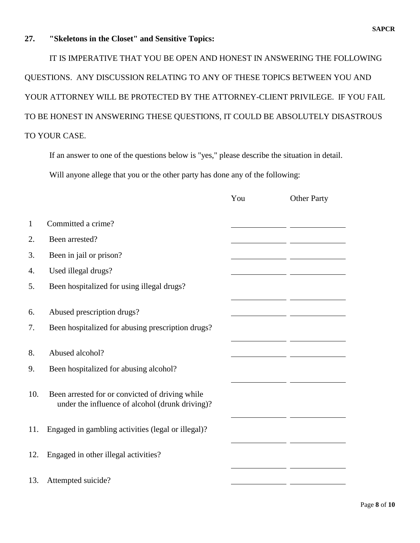#### **27. "Skeletons in the Closet" and Sensitive Topics:**

IT IS IMPERATIVE THAT YOU BE OPEN AND HONEST IN ANSWERING THE FOLLOWING QUESTIONS. ANY DISCUSSION RELATING TO ANY OF THESE TOPICS BETWEEN YOU AND YOUR ATTORNEY WILL BE PROTECTED BY THE ATTORNEY-CLIENT PRIVILEGE. IF YOU FAIL TO BE HONEST IN ANSWERING THESE QUESTIONS, IT COULD BE ABSOLUTELY DISASTROUS TO YOUR CASE.

If an answer to one of the questions below is "yes," please describe the situation in detail. Will anyone allege that you or the other party has done any of the following:

|          |                                                                                                    | You | <b>Other Party</b> |
|----------|----------------------------------------------------------------------------------------------------|-----|--------------------|
| 1        | Committed a crime?                                                                                 |     |                    |
| 2.       | Been arrested?                                                                                     |     |                    |
| 3.       | Been in jail or prison?                                                                            |     |                    |
| 4.       | Used illegal drugs?                                                                                |     |                    |
| 5.       | Been hospitalized for using illegal drugs?                                                         |     |                    |
| 6.<br>7. | Abused prescription drugs?<br>Been hospitalized for abusing prescription drugs?                    |     |                    |
| 8.       | Abused alcohol?                                                                                    |     |                    |
| 9.       | Been hospitalized for abusing alcohol?                                                             |     |                    |
| 10.      | Been arrested for or convicted of driving while<br>under the influence of alcohol (drunk driving)? |     |                    |
| 11.      | Engaged in gambling activities (legal or illegal)?                                                 |     |                    |
| 12.      | Engaged in other illegal activities?                                                               |     |                    |
| 13.      | Attempted suicide?                                                                                 |     |                    |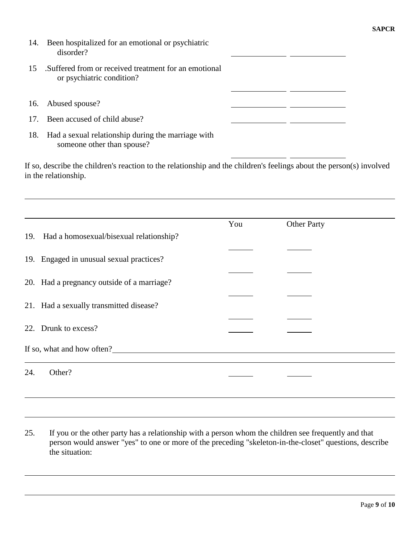| 14. | Been hospitalized for an emotional or psychiatric<br>disorder?                    |  |
|-----|-----------------------------------------------------------------------------------|--|
| 15  | Suffered from or received treatment for an emotional<br>or psychiatric condition? |  |
| 16. | Abused spouse?                                                                    |  |
| 17. | Been accused of child abuse?                                                      |  |
|     |                                                                                   |  |

If so, describe the children's reaction to the relationship and the children's feelings about the person(s) involved in the relationship.

|                            |                                            | You | <b>Other Party</b> |
|----------------------------|--------------------------------------------|-----|--------------------|
|                            |                                            |     |                    |
| 19.                        | Had a homosexual/bisexual relationship?    |     |                    |
|                            |                                            |     |                    |
|                            | 19. Engaged in unusual sexual practices?   |     |                    |
|                            |                                            |     |                    |
|                            |                                            |     |                    |
|                            | 20. Had a pregnancy outside of a marriage? |     |                    |
|                            |                                            |     |                    |
|                            | 21. Had a sexually transmitted disease?    |     |                    |
|                            |                                            |     |                    |
|                            |                                            |     |                    |
|                            | 22. Drunk to excess?                       |     |                    |
|                            |                                            |     |                    |
| If so, what and how often? |                                            |     |                    |
|                            |                                            |     |                    |
| 24.                        | Other?                                     |     |                    |
|                            |                                            |     |                    |
|                            |                                            |     |                    |
|                            |                                            |     |                    |

25. If you or the other party has a relationship with a person whom the children see frequently and that person would answer "yes" to one or more of the preceding "skeleton-in-the-closet" questions, describe the situation:

**SAPCR**